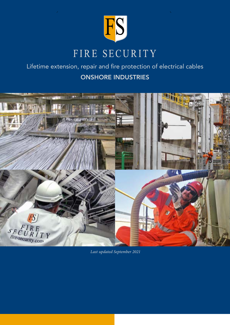

## Lifetime extension, repair and fire protection of electrical cables ONSHORE INDUSTRIES



 *Last updated September 2021*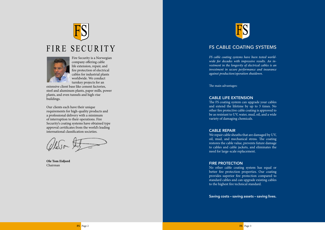

## FIRE SECURITY



Fire Security is a Norwegian company offering cable life extension, repair, and fire protection of electrical cables for industrial plants worldwide. We conduct turnkey projects for an

extensive client base like cement factories, steel and aluminum plants, paper mills, power plants, and even tunnels and high-rise buildings.

Our clients each have their unique requirements for high-quality products and a professional delivery with a minimum of interruption to their operations. Fire Security's coating systems have obtained type approval certificates from the world's leading international classification societies.

levon that

**Ole Tom Eidjord** Chairman



## FS CABLE COATING SYSTEMS

*FS cable coating systems have been tested world wide for decades with impressive results. An in vestment in the longevity of electrical cables is an investment in secure performance and insurance against production/operation shutdown.* 

The main advantages:

### CABLE LIFE EXTENSION

The FS coating system can upgrade your cables and extend the lifetime by up to 3 times. No other fire protective cable coating is approved to be as resistant to UV, water, mud, oil, and a wide variety of damaging chemicals.

### CABLE REPAIR

We repair cable sheaths that are damaged by UV, oil, mud, and mechanical stress. The coating restores the cable value, prevents future damage to cables and cable jackets, and eliminates the need for large-scale replacement.

### FIRE PROTECTION

No other cable coating system has equal or better fire protection properties. Our coating provides superior fire protection compared to standard cables and can upgrade existing cables to the highest fire technical standard.

Saving costs – saving assets – saving lives .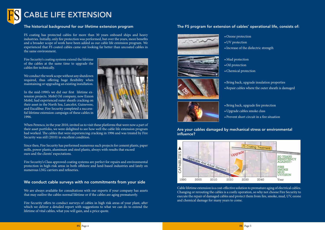### The historical background for our lifetime extension program

FS coating has protected cables for more than 30 years onboard ships and heavy industries. Initially, only fire protection was performed, but over the years, more benefits and a broader scope of work have been added as our cable life extension program. We experienced that FS coated cables came out looking far better than uncoated cables in the same environment.

Fire Security's coating systems extend the lifetime of the cables at the same time to upgrade the cables fire technically.

We conduct the work scope without any shutdown required, thus offering huge flexibility when maintaining or upgrading an existing installation.

In the mid-1990's we did our first lifetime extension projects. Mobil Oil company, now Exxon Mobil, had experienced outer sheath cracking on their asset in the North Sea, Lancelot, Guinevere, and Excalibur. Fire Security completed a successful lifetime extension campaign of these cables in 1996.



When Perenco, in the year 2010, invited us to visit these platforms that were now a part of their asset portfolio, we were delighted to see how well the cable life extension program had worked. The cables that were experiencing cracking in 1996 and was treated by Fire Security was still (2010) in excellent condition.

Since then, Fire Security has performed numerous such projects for cement plants, paper mills, power plants, aluminum and steel plants, always with results that exceed ours and the clients' expectations.

Fire Security's Class approved coating systems are perfect for repairs and environmental protection in high-risk areas in both offshore and land-based industries and lately on numerous LNG carriers and refineries.

### We conduct cable surveys with no commitments from your side

We are always available for consultations with our experts if your company has assets that may outlive the cables normal lifetime or if the cables are aging prematurely.

Fire Security offers to conduct surveys of cables in high risk areas of your plant, after which we deliver a detailed report with suggestions to what we can do to extend the lifetime of vital cables, what you will gain, and a price quote.

### The FS program for extension of cables' operational life, consists of:









- 
- 
- 

• Ozone protection

• UV protection

•Increase of the dielectric strength

• Mud protection • Oil protection

•Chemical protection

• Bring back, upgrade insulation properties •Repair cables where the outer sheath is damaged

• Bring back, upgrade fire protection • Upgrade cables smoke class • Prevent short circuit in a fire situation

Are your cables damaged by mechanical stress or environmental influence?



Cable lifetime extension is a cost-effective solution to premature aging of electrical cables. Changing or rerouting the cables is a costly operation, so why not choose Fire Security to execute the repair of damaged cables and protect them from fire, smoke, mud, UV, ozone and chemical damage for many years to come.

# CABLE LIFE EXTENSION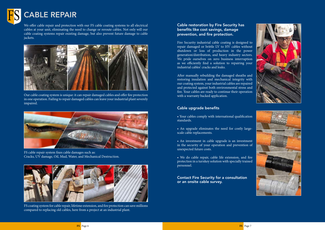



We offer cable repair and protection with our FS cable coating systems to all electrical cables at your unit, eliminating the need to change or reroute cables. Not only will our cable coating systems repair existing damage, but also prevent future damage to cable jackets.





FS cable repair system fixes cable damages such as: Cracks, UV damage, Oil, Mud, Water, and Mechanical Destruction.

### FS coating system for cable repair, lifetime extension, and fire protection can save millions compared to replacing old cables, here from a project at an industrial plant.

### Cable restoration by Fire Security has benefits like cost savings, damage prevention, and fire protection.

Fire Security industrial cable coating is designed to repair damaged or brittle LV to HV cables without shutdown or loss of production in the power generation/distribution, and heavy industry sectors. We pride ourselves on zero business interruption as we efficiently find a solution to repairing your industrial cables' cracks and leaks.

After manually rebuilding the damaged sheaths and restoring insulation and mechanical integrity with our coating system, your industrial cables are repaired and protected against both environmental stress and fire. Your cables are ready to continue their operation with a warranty backed application.

### Cable upgrade benefits

- Your cables comply with international qualification standards.
- An upgrade eliminates the need for costly largescale cable replacements.
- An investment in cable upgrade is an investment in the security of your operation and prevention of unexpected future costs.
- We do cable repair, cable life extension, and fire protection in a turnkey solution with specially trained personnel.

Contact Fire Security for a consultation or an onsite cable survey.



# CABLE REPAIR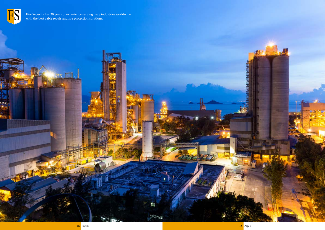$CC/3$ 

**Signals** 





Fire Security has 30 years of experience serving heay industries worldwide with the best cable repair and fire protection solutions.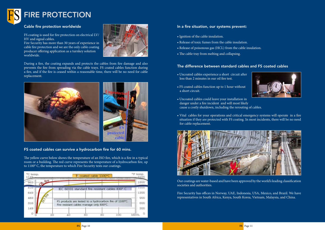

### Cable fire protection worldwide

FS coating is used for fire protection on electrical LV/ HV and signal cables.

Fire Security has more than 30 years of experience in cable fire protection and we are the only cable coating producer offering application as a turnkey solution worldwide.



During a fire, the coating expands and protects the cables from fire damage and also prevents the fire from spreading via the cable trays. FS coated cables function during a fire, and if the fire is ceased within a reasonable time, there will be no need for cable replacement.



### FS coated cables can survive a hydrocarbon fire for 60 mins.

The yellow curve below shows the temperature of an ISO fire, which is a fire in a typical room or a building. The red curve represents the temperature of a hydrocarbon fire, up to 1100° C, the temperature to which Fire Security tests our coatings.



### In a fire situation, our systems prevent:

- Ignition of the cable insulation.
- Release of toxic fumes from the cable insulation.
- Release of poisonous gas (HCL) from the cable insulation.
- The cable tray from melting and collapsing.

### The difference between standard cables and FS coated cables

- Uncoated cables experience a short circuit after less than 2 minutes in our oil fire test.
- FS coated cables function up to 1 hour without a short circuit.
- Uncoated cables could leave your installation in danger under a fire incident and will most likely cause a costly shutdown, including the rerouting of cables.
- Vital cables for your operations and critical emergency systems will operate in a fire situation if they are protected with FS coating. In most incidents, there will be no need for cable replacement.



Our coatings are water-based and have been approved by the world's leading classification societies and authorities.

Fire Security has offices in Norway, UAE, Indonesia, USA, Mexico, and Brazil. We have representatives in South Africa, Kenya, South Korea, Vietnam, Malaysia, and China.

# FIRE PROTECTION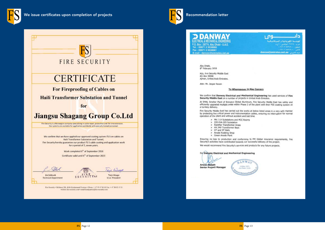





P.O. Box : 28774, Abu Dhabi - U.A.E. Tel.: 00971 2 5538900 Fax: 00971 2 5538901 E-mail: dancon@emirates.net.ae

> Abu Dhabi, 8th February 2016

M/s. Fire Security Middle East PO Box 40068 Ajman, United Arab Emirates.

Attn: Mr. Jesper Rexen

### We confirm that Danway Electrical and Mechanical Engineering has used services of Fire Security Middle East on a number of projects in United Arab Emirates.

At EMAL Smelter Plant of Emirates Global Aluminum, Fire Security Middle East has safely and efficiently upgraded multiple areas within Phase 2 of the plant with their FSS coating system as a turnkey delivery.

Fire Security Middle East has carried out the works at below listed areas in a very safe manner by protecting live critical power and instrumentation cables, ensuring no interruption for normal operation of the plant and without accident and lost time

- > MV / LV Substations and MCC Rooms
- > 220 KVA GIS Substation > Rectifier Transformer Areas
- > HV /MV Transformer Bays
- > GT and ST Halls
- > Anode Rodding Shop
- > Green Anode Plant



Ensuring no loss to production and conforming to FM Global insurance requirements, Fire Security's activities have contributed towards our successful delivery of the project. We would recommend Fire Security's services and products for any future projects.

### To Whomsoever It May Concern

### For Danway Electrical and Mechanical Engineering

Anwar Sadath

**Senior Project Manager** 



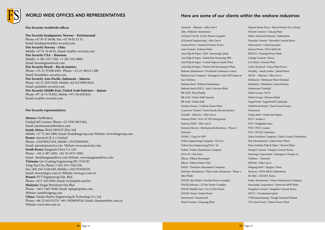

## WORLD WIDE OFFICES AND REPRESENTATIVES<br>Here are some of our clients within the onshore industries

**Fire Security worldwide offices:**

### **Fire Security headquarter, Norway – Kristiansand:**

Phone +47 95 47 80 00, Fax +47 38 02 15 31, Email: headquarter@fire-security.com **Fire Security Norway – Oslo:** Mobile +47 91 54 48 81, Email: tw@fire-security.com **Fire Security USA – Houston:** Mobile +1-281-352-7182, +1-281-352-0800, Email: henning@nortech.com **Fire Security Brazil – Rio de Janeiro:** Phone: +55-21-97498.4945, Phone: +55-21-98121.1380 Email: brasil@fire-security.com **Fire Security Asia-Pacific, Indonesia – Jakarta:** Phone +62 21 2293 0520, Mobile +62 812 8990 0625, Email: paal@fire-security.com **Fire Security Middle East, United Arab Emirates – Ajman:** Phone +97 16 74 78 842, Mobile +971 50 6453425, Email: jrx@fire-security.com

### **Fire Security representatives:**

**Mexico:** OistBrokers Ciudad del Carmen, Phone +52 1938 3843 062, Email: jmontoya@oistbrokers.com **South Africa:** IBAS GROUP (Pty) Ltd Mobile +27 72 443 2900, Email: fire@ibasgroup.com Website: www.ibasgroup.com **Kenya:** Amotech (E.A.) Limited Phone: +254709223344, Mobile +254720450565. Email: amos@amotech.co.ke Website www.amotech.co.ke **South Korea:** Kangnam Drive Co. Ltd. Phone : +82-2-497-4505, +82-10-4572-4505, Email : fire@kangnamdrive.com Website: www.kangnamdrive.co.kr **Vietnam:** Gre-Coating Engineering JSC (VGCE) Vung Tau City, Phone: (+84) 254 3 626 628, Fax: (84) 254 3 626 629, Mobile: (+84) 919430335. Email: stewart@gce.com.vn Website: www.gce.com.vn **Brunei:** PTT Engineering Sdn. Bhd. Phone: +673-323-0185, Email: tn.lim@ptt.com.bn **Malaysia:** Nargis Petroleum Sdn Bhd Phone : +60 17 667 9269, Email: nphq@npsbm.com Website: santubongeng.com **China:** Tianjin Runbo Engineering & Technology Co. Ltd Phone: +86-22-65151579, +86-13820858510, Email: chentao@rbet.com.cn Website: www.rbet.com.cn

Airmech – Bahrain / Alba Line 6 Alba / Bahrain Aluminium Al Ezzel O & M/ Al Dur Power Complex Al Komed Engineering / Alba Line 6 Amata Power / Amata B Grimm Power Asia Cement/ Jecheon Plant Asia Pulp & Paper / DSS - Karawang I plant Asia Pulp & Paper / Indah Kiat Perawang Mill Asia Pulp & Paper / Lontar Papyrus Jambi Plant Asia Pulp & Paper / Pindo Deli Karawang II Plant Bahrain Aluminium / Overhead Casthouse Cranes Bahrain Gas Company / Emergency Lube Oil Pumps on Gas Turbines Bahrain Steel / Bahrain Substations Bahrain Steel (GIIC)/ Jetty Conveyor Belts BK Gulf / Burj Khalifa BK Gulf / Dubai Mall Tunnels BK Gulf / Dubai Mall Cirebon Power / Cirebon Power Plant Consorcio Tunnel / Grota Funda (Rio de Janeiro) Danielli – Bahrain / Alba Line 6 Danway EME / EGA AT PSI Intergration Danway EME / Alba Line 6 Danway Electro / Mechanical Substations - Phase 2 Emirates DNMC / Ling Ao NPP Dubai Engineering Company / EGA Ja Dubai Euro Engineering EGA / JA Dubal / Dubai Aluminium Company EGA AT / Pot Lines Elkem / Elkem Bremanger Elkem / Elkem Fiskaa Verk EMAL / Emirates Aluminium Company Emirates Aluminium / Plant wide substations - Phase 1 - Abu Dhabi ENGIE Abu Dhabi / Sweihat Power Complex ENGIE Bahrain / Al Dur Power Complex ENGIE Middle East / Um Al Nar Power ENGIE Oman / Sohar Power Eurotunnel / Eurotunnel Hanil Cement / Danyang Plant

Hansol Home Deco / Hansol Home Deco Korea Holcim Cement / Cilacap Plant Hubco Narowal Pakistan / Substations Hyundai Cement / Hyundai Cement Korea Indocement / Citeureup plant Jazeera Power / EGA Jebel Ali KEPCO / Danjing Power Plant Lafarge Cement / Korea LG Chem / Daesan Plant Lotte Chemical / Ulsan Plant Korea Marafiq – Saudi Arabia / Jubail Power MCSC – Bahrain / Alba Line 6 Methanex / Methanex Plant Trinidad Methanex / Methanex Control Room Substations Trinidad Mulia Group / Bri II Mulia Group / Menara Mulia NagaWorld / NagaWorld Cambodia Oderbrecht Brasil / Tunel Grota Funda – Transoeste Osaka Steel / Osaka Steel Japan PLN / Asahan 1 PLN / Pangkalan Susu PLN / PLTU Lontar PLN / PLTGU Indralaya Qatar Fertilizer Company / Qafco Ureah 2 Substation Ray International / Sohar Power Plant Riau Andalan Pulp & Paper / Kerinci Plant Sampyo Cement / Sampyo Cement Korea Samsung Corporation / Emergency Pumps on Turbines – Emirates SEPAM / Alba Line 6 Shagang Steel / Jiangsu, China Siemens / EWA 400 kv Substations SK E&C / SK E&C Korea Sohar Aluminium / Oman Aluminium Company Sunchang Corporation / Sunwoon MDF Plant Sungshin Cement / Sungshin Cement Korea SWCC / Desalination plant TNB Janamanjung / Tenaga Nasional Berhad YTL Jawa Power / Paiton Power Plant